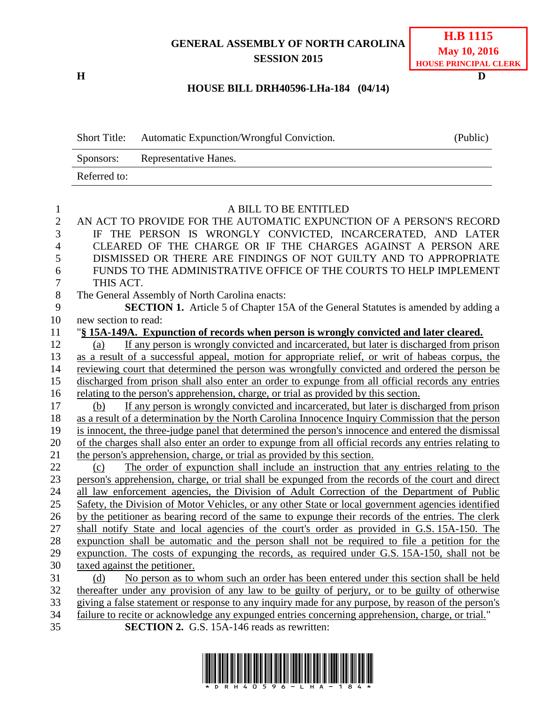**GENERAL ASSEMBLY OF NORTH CAROLINA SESSION 2015**

**H D**

## **HOUSE BILL DRH40596-LHa-184 (04/14)**

|                | Automatic Expunction/Wrongful Conviction.<br><b>Short Title:</b>                                      | (Public) |
|----------------|-------------------------------------------------------------------------------------------------------|----------|
|                | Representative Hanes.<br>Sponsors:                                                                    |          |
|                | Referred to:                                                                                          |          |
|                |                                                                                                       |          |
| $\mathbf{1}$   | A BILL TO BE ENTITLED                                                                                 |          |
| $\mathbf{2}$   | AN ACT TO PROVIDE FOR THE AUTOMATIC EXPUNCTION OF A PERSON'S RECORD                                   |          |
| 3              | IF THE PERSON IS WRONGLY CONVICTED, INCARCERATED, AND LATER                                           |          |
| $\overline{4}$ | CLEARED OF THE CHARGE OR IF THE CHARGES AGAINST A PERSON ARE                                          |          |
| 5              | DISMISSED OR THERE ARE FINDINGS OF NOT GUILTY AND TO APPROPRIATE                                      |          |
| 6              | FUNDS TO THE ADMINISTRATIVE OFFICE OF THE COURTS TO HELP IMPLEMENT                                    |          |
| $\overline{7}$ | THIS ACT.                                                                                             |          |
| $8\,$          | The General Assembly of North Carolina enacts:                                                        |          |
| 9              | <b>SECTION 1.</b> Article 5 of Chapter 15A of the General Statutes is amended by adding a             |          |
| 10             | new section to read:                                                                                  |          |
| 11             | "§ 15A-149A. Expunction of records when person is wrongly convicted and later cleared.                |          |
| 12             | If any person is wrongly convicted and incarcerated, but later is discharged from prison<br>(a)       |          |
| 13             | as a result of a successful appeal, motion for appropriate relief, or writ of habeas corpus, the      |          |
| 14             | reviewing court that determined the person was wrongfully convicted and ordered the person be         |          |
| 15             | discharged from prison shall also enter an order to expunge from all official records any entries     |          |
| 16             | relating to the person's apprehension, charge, or trial as provided by this section.                  |          |
| 17             | If any person is wrongly convicted and incarcerated, but later is discharged from prison<br>(b)       |          |
| 18             | as a result of a determination by the North Carolina Innocence Inquiry Commission that the person     |          |
| 19             | is innocent, the three-judge panel that determined the person's innocence and entered the dismissal   |          |
| 20             | of the charges shall also enter an order to expunge from all official records any entries relating to |          |
| 21             | the person's apprehension, charge, or trial as provided by this section.                              |          |
| 22             | The order of expunction shall include an instruction that any entries relating to the<br>(c)          |          |
| 23             | person's apprehension, charge, or trial shall be expunged from the records of the court and direct    |          |
| 24             | all law enforcement agencies, the Division of Adult Correction of the Department of Public            |          |
| 25             | Safety, the Division of Motor Vehicles, or any other State or local government agencies identified    |          |
| 26             | by the petitioner as bearing record of the same to expunge their records of the entries. The clerk    |          |
| 27             | shall notify State and local agencies of the court's order as provided in G.S. 15A-150. The           |          |
| 28             | expunction shall be automatic and the person shall not be required to file a petition for the         |          |
| 29             | expunction. The costs of expunging the records, as required under G.S. 15A-150, shall not be          |          |
| 30             | taxed against the petitioner.                                                                         |          |
| 31             | No person as to whom such an order has been entered under this section shall be held<br>(d)           |          |
| 32             | thereafter under any provision of any law to be guilty of perjury, or to be guilty of otherwise       |          |
| 33             | giving a false statement or response to any inquiry made for any purpose, by reason of the person's   |          |
| 34             | failure to recite or acknowledge any expunged entries concerning apprehension, charge, or trial."     |          |

35 **SECTION 2.** G.S. 15A-146 reads as rewritten:

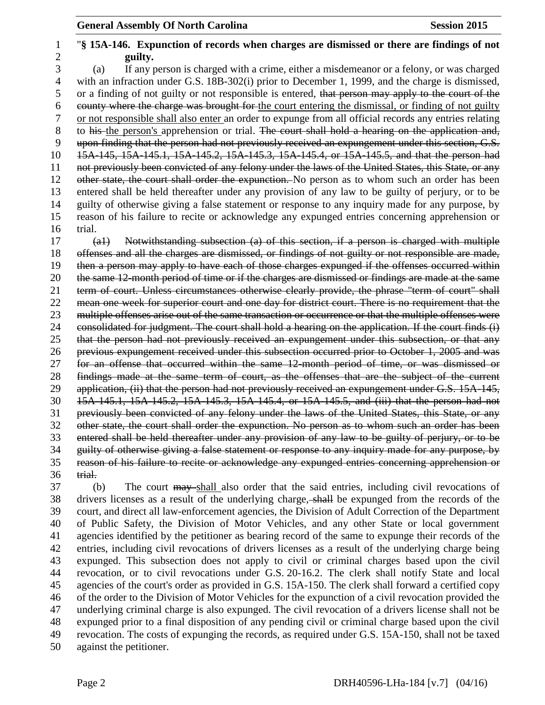## "**§ 15A-146. Expunction of records when charges are dismissed or there are findings of not guilty.** (a) If any person is charged with a crime, either a misdemeanor or a felony, or was charged with an infraction under G.S. 18B-302(i) prior to December 1, 1999, and the charge is dismissed, 5 or a finding of not guilty or not responsible is entered, that person may apply to the court of the county where the charge was brought for the court entering the dismissal, or finding of not guilty or not responsible shall also enter an order to expunge from all official records any entries relating 8 to his the person's apprehension or trial. The court shall hold a hearing on the application and, upon finding that the person had not previously received an expungement under this section, G.S. 15A-145, 15A-145.1, 15A-145.2, 15A-145.3, 15A-145.4, or 15A-145.5, and that the person had not previously been convicted of any felony under the laws of the United States, this State, or any 12 other state, the court shall order the expunction. No person as to whom such an order has been entered shall be held thereafter under any provision of any law to be guilty of perjury, or to be guilty of otherwise giving a false statement or response to any inquiry made for any purpose, by reason of his failure to recite or acknowledge any expunged entries concerning apprehension or trial. (a1) Notwithstanding subsection (a) of this section, if a person is charged with multiple

 offenses and all the charges are dismissed, or findings of not guilty or not responsible are made, then a person may apply to have each of those charges expunged if the offenses occurred within the same 12-month period of time or if the charges are dismissed or findings are made at the same term of court. Unless circumstances otherwise clearly provide, the phrase "term of court" shall mean one week for superior court and one day for district court. There is no requirement that the 23 multiple offenses arise out of the same transaction or occurrence or that the multiple offenses were consolidated for judgment. The court shall hold a hearing on the application. If the court finds (i) that the person had not previously received an expungement under this subsection, or that any previous expungement received under this subsection occurred prior to October 1, 2005 and was for an offense that occurred within the same 12-month period of time, or was dismissed or findings made at the same term of court, as the offenses that are the subject of the current 29 application, (ii) that the person had not previously received an expungement under G.S. 15A-145, 15A-145.1, 15A-145.2, 15A-145.3, 15A-145.4, or 15A-145.5, and (iii) that the person had not previously been convicted of any felony under the laws of the United States, this State, or any other state, the court shall order the expunction. No person as to whom such an order has been entered shall be held thereafter under any provision of any law to be guilty of perjury, or to be guilty of otherwise giving a false statement or response to any inquiry made for any purpose, by reason of his failure to recite or acknowledge any expunged entries concerning apprehension or trial.

 (b) The court may shall also order that the said entries, including civil revocations of drivers licenses as a result of the underlying charge, shall be expunged from the records of the court, and direct all law-enforcement agencies, the Division of Adult Correction of the Department of Public Safety, the Division of Motor Vehicles, and any other State or local government agencies identified by the petitioner as bearing record of the same to expunge their records of the entries, including civil revocations of drivers licenses as a result of the underlying charge being expunged. This subsection does not apply to civil or criminal charges based upon the civil revocation, or to civil revocations under G.S. 20-16.2. The clerk shall notify State and local agencies of the court's order as provided in G.S. 15A-150. The clerk shall forward a certified copy of the order to the Division of Motor Vehicles for the expunction of a civil revocation provided the underlying criminal charge is also expunged. The civil revocation of a drivers license shall not be expunged prior to a final disposition of any pending civil or criminal charge based upon the civil revocation. The costs of expunging the records, as required under G.S. 15A-150, shall not be taxed against the petitioner.